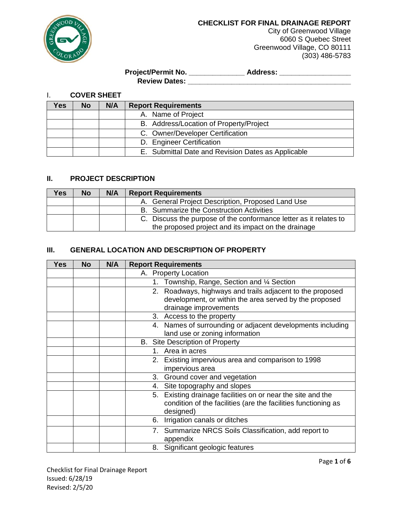

City of Greenwood Village 6060 S Quebec Street Greenwood Village, CO 80111 (303) 486-5783

**Project/Permit No. \_\_\_\_\_\_\_\_\_\_\_\_\_\_ Address: \_\_\_\_\_\_\_\_\_\_\_\_\_\_\_\_\_\_ Review Dates: \_\_\_\_\_\_\_\_\_\_\_\_\_\_\_\_\_\_\_\_\_\_\_\_\_\_\_\_\_\_\_\_\_\_\_\_\_\_\_\_\_**

# I. **COVER SHEET**

| res | No | N/A | <b>Report Requirements</b>                         |
|-----|----|-----|----------------------------------------------------|
|     |    |     | A. Name of Project                                 |
|     |    |     | B. Address/Location of Property/Project            |
|     |    |     | C. Owner/Developer Certification                   |
|     |    |     | D. Engineer Certification                          |
|     |    |     | E. Submittal Date and Revision Dates as Applicable |

## **II. PROJECT DESCRIPTION**

| Yes. | <b>No</b> | N/A | <b>Report Requirements</b>                                        |
|------|-----------|-----|-------------------------------------------------------------------|
|      |           |     | A. General Project Description, Proposed Land Use                 |
|      |           |     | B. Summarize the Construction Activities                          |
|      |           |     | C. Discuss the purpose of the conformance letter as it relates to |
|      |           |     | the proposed project and its impact on the drainage               |

## **III. GENERAL LOCATION AND DESCRIPTION OF PROPERTY**

| <b>Yes</b> | <b>No</b> | N/A | <b>Report Requirements</b>                                                                                                                    |
|------------|-----------|-----|-----------------------------------------------------------------------------------------------------------------------------------------------|
|            |           |     | A. Property Location                                                                                                                          |
|            |           |     | Township, Range, Section and 1/4 Section<br>1.                                                                                                |
|            |           |     | 2. Roadways, highways and trails adjacent to the proposed                                                                                     |
|            |           |     | development, or within the area served by the proposed                                                                                        |
|            |           |     | drainage improvements                                                                                                                         |
|            |           |     | 3. Access to the property                                                                                                                     |
|            |           |     | 4. Names of surrounding or adjacent developments including<br>land use or zoning information                                                  |
|            |           |     | B. Site Description of Property                                                                                                               |
|            |           |     | Area in acres<br>1.                                                                                                                           |
|            |           |     | 2. Existing impervious area and comparison to 1998                                                                                            |
|            |           |     | impervious area                                                                                                                               |
|            |           |     | 3. Ground cover and vegetation                                                                                                                |
|            |           |     | 4. Site topography and slopes                                                                                                                 |
|            |           |     | Existing drainage facilities on or near the site and the<br>5.<br>condition of the facilities (are the facilities functioning as<br>designed) |
|            |           |     | Irrigation canals or ditches<br>6.                                                                                                            |
|            |           |     | 7. Summarize NRCS Soils Classification, add report to<br>appendix                                                                             |
|            |           |     | 8. Significant geologic features                                                                                                              |

Checklist for Final Drainage Report Issued: 6/28/19 Revised: 2/5/20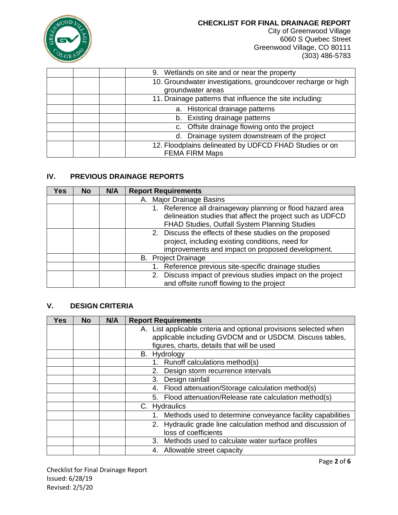

City of Greenwood Village 6060 S Quebec Street Greenwood Village, CO 80111 (303) 486-5783

| 9. Wetlands on site and or near the property                                      |
|-----------------------------------------------------------------------------------|
| 10. Groundwater investigations, groundcover recharge or high<br>groundwater areas |
| 11. Drainage patterns that influence the site including:                          |
| a. Historical drainage patterns                                                   |
| b. Existing drainage patterns                                                     |
| c. Offsite drainage flowing onto the project                                      |
| Drainage system downstream of the project<br>d.                                   |
| 12. Floodplains delineated by UDFCD FHAD Studies or on<br><b>FEMA FIRM Maps</b>   |

## **IV. PREVIOUS DRAINAGE REPORTS**

| Yes | <b>No</b> | N/A | <b>Report Requirements</b>                                                                                                                                               |
|-----|-----------|-----|--------------------------------------------------------------------------------------------------------------------------------------------------------------------------|
|     |           |     | A. Major Drainage Basins                                                                                                                                                 |
|     |           |     | 1. Reference all drainageway planning or flood hazard area<br>delineation studies that affect the project such as UDFCD<br>FHAD Studies, Outfall System Planning Studies |
|     |           |     | 2. Discuss the effects of these studies on the proposed<br>project, including existing conditions, need for<br>improvements and impact on proposed development.          |
|     |           |     | <b>B.</b> Project Drainage                                                                                                                                               |
|     |           |     | 1. Reference previous site-specific drainage studies                                                                                                                     |
|     |           |     | 2. Discuss impact of previous studies impact on the project<br>and offsite runoff flowing to the project                                                                 |

## **V. DESIGN CRITERIA**

| <b>Yes</b> | <b>No</b> | N/A | <b>Report Requirements</b>                                        |
|------------|-----------|-----|-------------------------------------------------------------------|
|            |           |     | A. List applicable criteria and optional provisions selected when |
|            |           |     | applicable including GVDCM and or USDCM. Discuss tables,          |
|            |           |     | figures, charts, details that will be used                        |
|            |           |     | B. Hydrology                                                      |
|            |           |     | Runoff calculations method(s)<br>1.                               |
|            |           |     | Design storm recurrence intervals<br>2.                           |
|            |           |     | Design rainfall<br>3.                                             |
|            |           |     | 4. Flood attenuation/Storage calculation method(s)                |
|            |           |     | 5. Flood attenuation/Release rate calculation method(s)           |
|            |           |     | C. Hydraulics                                                     |
|            |           |     | Methods used to determine conveyance facility capabilities        |
|            |           |     | 2. Hydraulic grade line calculation method and discussion of      |
|            |           |     | loss of coefficients                                              |
|            |           |     | Methods used to calculate water surface profiles<br>3.            |
|            |           |     | 4. Allowable street capacity                                      |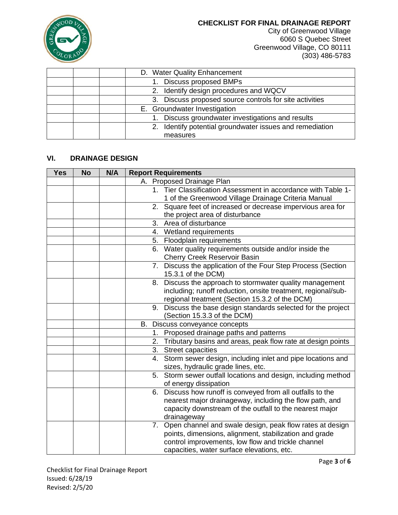

City of Greenwood Village 6060 S Quebec Street Greenwood Village, CO 80111 (303) 486-5783

| D. Water Quality Enhancement                             |
|----------------------------------------------------------|
| 1. Discuss proposed BMPs                                 |
| 2. Identify design procedures and WQCV                   |
| 3. Discuss proposed source controls for site activities  |
| E. Groundwater Investigation                             |
| 1. Discuss groundwater investigations and results        |
| 2. Identify potential groundwater issues and remediation |
| measures                                                 |

## **VI. DRAINAGE DESIGN**

| <b>Yes</b> | <b>No</b> | N/A | <b>Report Requirements</b>                                                                                                                                                                                                                                                                                                                                                                                                                                                                                                                                                                                                                                                                                                                                                                                 |
|------------|-----------|-----|------------------------------------------------------------------------------------------------------------------------------------------------------------------------------------------------------------------------------------------------------------------------------------------------------------------------------------------------------------------------------------------------------------------------------------------------------------------------------------------------------------------------------------------------------------------------------------------------------------------------------------------------------------------------------------------------------------------------------------------------------------------------------------------------------------|
|            |           |     | A. Proposed Drainage Plan                                                                                                                                                                                                                                                                                                                                                                                                                                                                                                                                                                                                                                                                                                                                                                                  |
|            |           |     | 1. Tier Classification Assessment in accordance with Table 1-                                                                                                                                                                                                                                                                                                                                                                                                                                                                                                                                                                                                                                                                                                                                              |
|            |           |     | 1 of the Greenwood Village Drainage Criteria Manual                                                                                                                                                                                                                                                                                                                                                                                                                                                                                                                                                                                                                                                                                                                                                        |
|            |           |     | 2. Square feet of increased or decrease impervious area for                                                                                                                                                                                                                                                                                                                                                                                                                                                                                                                                                                                                                                                                                                                                                |
|            |           |     | the project area of disturbance                                                                                                                                                                                                                                                                                                                                                                                                                                                                                                                                                                                                                                                                                                                                                                            |
|            |           |     | 3.<br>Area of disturbance                                                                                                                                                                                                                                                                                                                                                                                                                                                                                                                                                                                                                                                                                                                                                                                  |
|            |           |     | 4.<br>Wetland requirements                                                                                                                                                                                                                                                                                                                                                                                                                                                                                                                                                                                                                                                                                                                                                                                 |
|            |           |     | Floodplain requirements<br>5.                                                                                                                                                                                                                                                                                                                                                                                                                                                                                                                                                                                                                                                                                                                                                                              |
|            |           |     | Water quality requirements outside and/or inside the<br>6.<br><b>Cherry Creek Reservoir Basin</b>                                                                                                                                                                                                                                                                                                                                                                                                                                                                                                                                                                                                                                                                                                          |
|            |           |     | 7. Discuss the application of the Four Step Process (Section<br>15.3.1 of the DCM)                                                                                                                                                                                                                                                                                                                                                                                                                                                                                                                                                                                                                                                                                                                         |
|            |           |     | Discuss the approach to stormwater quality management<br>8.                                                                                                                                                                                                                                                                                                                                                                                                                                                                                                                                                                                                                                                                                                                                                |
|            |           |     | including; runoff reduction, onsite treatment, regional/sub-                                                                                                                                                                                                                                                                                                                                                                                                                                                                                                                                                                                                                                                                                                                                               |
|            |           |     | regional treatment (Section 15.3.2 of the DCM)                                                                                                                                                                                                                                                                                                                                                                                                                                                                                                                                                                                                                                                                                                                                                             |
|            |           |     | 9.                                                                                                                                                                                                                                                                                                                                                                                                                                                                                                                                                                                                                                                                                                                                                                                                         |
|            |           |     |                                                                                                                                                                                                                                                                                                                                                                                                                                                                                                                                                                                                                                                                                                                                                                                                            |
|            |           |     |                                                                                                                                                                                                                                                                                                                                                                                                                                                                                                                                                                                                                                                                                                                                                                                                            |
|            |           |     | 1.                                                                                                                                                                                                                                                                                                                                                                                                                                                                                                                                                                                                                                                                                                                                                                                                         |
|            |           |     |                                                                                                                                                                                                                                                                                                                                                                                                                                                                                                                                                                                                                                                                                                                                                                                                            |
|            |           |     |                                                                                                                                                                                                                                                                                                                                                                                                                                                                                                                                                                                                                                                                                                                                                                                                            |
|            |           |     | sizes, hydraulic grade lines, etc.                                                                                                                                                                                                                                                                                                                                                                                                                                                                                                                                                                                                                                                                                                                                                                         |
|            |           |     | 5. Storm sewer outfall locations and design, including method                                                                                                                                                                                                                                                                                                                                                                                                                                                                                                                                                                                                                                                                                                                                              |
|            |           |     |                                                                                                                                                                                                                                                                                                                                                                                                                                                                                                                                                                                                                                                                                                                                                                                                            |
|            |           |     |                                                                                                                                                                                                                                                                                                                                                                                                                                                                                                                                                                                                                                                                                                                                                                                                            |
|            |           |     |                                                                                                                                                                                                                                                                                                                                                                                                                                                                                                                                                                                                                                                                                                                                                                                                            |
|            |           |     |                                                                                                                                                                                                                                                                                                                                                                                                                                                                                                                                                                                                                                                                                                                                                                                                            |
|            |           |     |                                                                                                                                                                                                                                                                                                                                                                                                                                                                                                                                                                                                                                                                                                                                                                                                            |
|            |           |     |                                                                                                                                                                                                                                                                                                                                                                                                                                                                                                                                                                                                                                                                                                                                                                                                            |
|            |           |     |                                                                                                                                                                                                                                                                                                                                                                                                                                                                                                                                                                                                                                                                                                                                                                                                            |
|            |           |     |                                                                                                                                                                                                                                                                                                                                                                                                                                                                                                                                                                                                                                                                                                                                                                                                            |
|            |           |     | Discuss the base design standards selected for the project<br>(Section 15.3.3 of the DCM)<br>B. Discuss conveyance concepts<br>Proposed drainage paths and patterns<br>Tributary basins and areas, peak flow rate at design points<br>2.<br>3.<br><b>Street capacities</b><br>4. Storm sewer design, including inlet and pipe locations and<br>of energy dissipation<br>Discuss how runoff is conveyed from all outfalls to the<br>6.<br>nearest major drainageway, including the flow path, and<br>capacity downstream of the outfall to the nearest major<br>drainageway<br>Open channel and swale design, peak flow rates at design<br>7.<br>points, dimensions, alignment, stabilization and grade<br>control improvements, low flow and trickle channel<br>capacities, water surface elevations, etc. |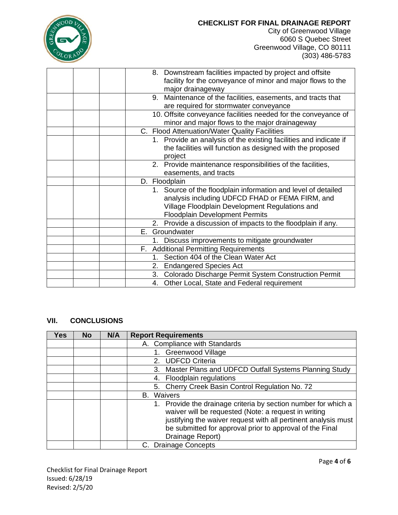| $OD_{V}$     |
|--------------|
|              |
| ٠            |
| $v_{\rm OR}$ |

City of Greenwood Village 6060 S Quebec Street Greenwood Village, CO 80111 (303) 486-5783

| 8. Downstream facilities impacted by project and offsite          |
|-------------------------------------------------------------------|
| facility for the conveyance of minor and major flows to the       |
| major drainageway                                                 |
| Maintenance of the facilities, easements, and tracts that<br>9.   |
| are required for stormwater conveyance                            |
| 10. Offsite conveyance facilities needed for the conveyance of    |
| minor and major flows to the major drainageway                    |
| C. Flood Attenuation/Water Quality Facilities                     |
| 1. Provide an analysis of the existing facilities and indicate if |
| the facilities will function as designed with the proposed        |
| project                                                           |
|                                                                   |
| 2. Provide maintenance responsibilities of the facilities,        |
| easements, and tracts                                             |
| D. Floodplain                                                     |
| 1. Source of the floodplain information and level of detailed     |
| analysis including UDFCD FHAD or FEMA FIRM, and                   |
| Village Floodplain Development Regulations and                    |
| <b>Floodplain Development Permits</b>                             |
| 2. Provide a discussion of impacts to the floodplain if any.      |
| E. Groundwater                                                    |
| Discuss improvements to mitigate groundwater<br>1.                |
| F. Additional Permitting Requirements                             |
| Section 404 of the Clean Water Act<br>1.                          |
| <b>Endangered Species Act</b><br>2.                               |
| Colorado Discharge Permit System Construction Permit<br>3.        |
|                                                                   |

## **VII. CONCLUSIONS**

| <b>Yes</b> | No. | N/A | <b>Report Requirements</b>                                                                                                                                                                                                                                            |
|------------|-----|-----|-----------------------------------------------------------------------------------------------------------------------------------------------------------------------------------------------------------------------------------------------------------------------|
|            |     |     | A. Compliance with Standards                                                                                                                                                                                                                                          |
|            |     |     | Greenwood Village                                                                                                                                                                                                                                                     |
|            |     |     | <b>UDFCD Criteria</b><br>2.                                                                                                                                                                                                                                           |
|            |     |     | Master Plans and UDFCD Outfall Systems Planning Study<br>3.                                                                                                                                                                                                           |
|            |     |     | Floodplain regulations<br>4.                                                                                                                                                                                                                                          |
|            |     |     | 5. Cherry Creek Basin Control Regulation No. 72                                                                                                                                                                                                                       |
|            |     |     | Waivers<br>В.                                                                                                                                                                                                                                                         |
|            |     |     | Provide the drainage criteria by section number for which a<br>waiver will be requested (Note: a request in writing<br>justifying the waiver request with all pertinent analysis must<br>be submitted for approval prior to approval of the Final<br>Drainage Report) |
|            |     |     | C. Drainage Concepts                                                                                                                                                                                                                                                  |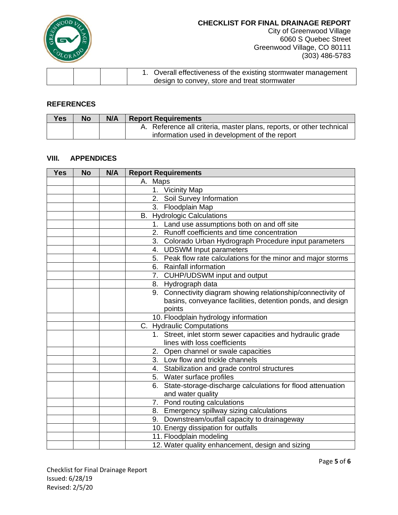

City of Greenwood Village 6060 S Quebec Street Greenwood Village, CO 80111 (303) 486-5783

|  | Overall effectiveness of the existing stormwater management |
|--|-------------------------------------------------------------|
|  | design to convey, store and treat stormwater                |

#### **REFERENCES**

| <b>Yes</b> | <b>No</b> | N/A | <b>Report Requirements</b>                                           |
|------------|-----------|-----|----------------------------------------------------------------------|
|            |           |     | A. Reference all criteria, master plans, reports, or other technical |
|            |           |     | information used in development of the report                        |

### **VIII. APPENDICES**

| <b>Yes</b> | <b>No</b> | N/A | <b>Report Requirements</b>                                       |
|------------|-----------|-----|------------------------------------------------------------------|
|            |           |     | A. Maps                                                          |
|            |           |     | 1. Vicinity Map                                                  |
|            |           |     | 2. Soil Survey Information                                       |
|            |           |     | 3. Floodplain Map                                                |
|            |           |     | <b>B.</b> Hydrologic Calculations                                |
|            |           |     | Land use assumptions both on and off site<br>1.                  |
|            |           |     | Runoff coefficients and time concentration<br>2.                 |
|            |           |     | 3. Colorado Urban Hydrograph Procedure input parameters          |
|            |           |     | 4. UDSWM Input parameters                                        |
|            |           |     | 5. Peak flow rate calculations for the minor and major storms    |
|            |           |     | 6. Rainfall information                                          |
|            |           |     | 7. CUHP/UDSWM input and output                                   |
|            |           |     | 8. Hydrograph data                                               |
|            |           |     | Connectivity diagram showing relationship/connectivity of<br>9.  |
|            |           |     | basins, conveyance facilities, detention ponds, and design       |
|            |           |     | points                                                           |
|            |           |     | 10. Floodplain hydrology information                             |
|            |           |     | C. Hydraulic Computations                                        |
|            |           |     | 1. Street, inlet storm sewer capacities and hydraulic grade      |
|            |           |     | lines with loss coefficients                                     |
|            |           |     | 2. Open channel or swale capacities                              |
|            |           |     | 3. Low flow and trickle channels                                 |
|            |           |     | 4. Stabilization and grade control structures                    |
|            |           |     | 5. Water surface profiles                                        |
|            |           |     | State-storage-discharge calculations for flood attenuation<br>6. |
|            |           |     | and water quality                                                |
|            |           |     | 7. Pond routing calculations                                     |
|            |           |     | 8. Emergency spillway sizing calculations                        |
|            |           |     | 9. Downstream/outfall capacity to drainageway                    |
|            |           |     | 10. Energy dissipation for outfalls                              |
|            |           |     | 11. Floodplain modeling                                          |
|            |           |     | 12. Water quality enhancement, design and sizing                 |